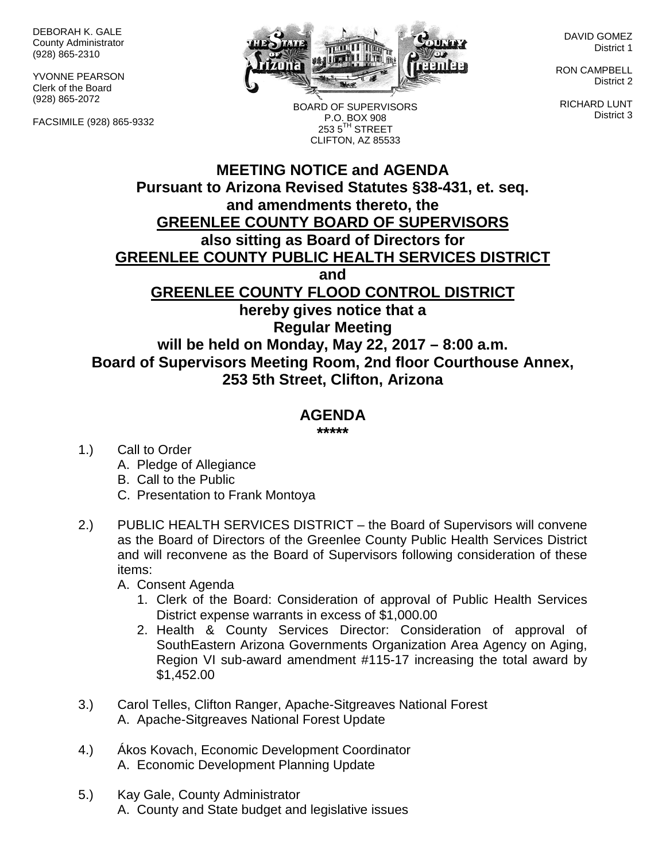DEBORAH K. GALE County Administrator (928) 865-2310

YVONNE PEARSON Clerk of the Board (928) 865-2072

FACSIMILE (928) 865-9332



BOARD OF SUPERVISORS P.O. BOX 908  $2535^{\text{TH}}$  STREET CLIFTON, AZ 85533

DAVID GOMEZ District 1

RON CAMPBELL District 2

RICHARD LUNT District 3

## **MEETING NOTICE and AGENDA Pursuant to Arizona Revised Statutes §38-431, et. seq. and amendments thereto, the GREENLEE COUNTY BOARD OF SUPERVISORS also sitting as Board of Directors for GREENLEE COUNTY PUBLIC HEALTH SERVICES DISTRICT and GREENLEE COUNTY FLOOD CONTROL DISTRICT hereby gives notice that a Regular Meeting will be held on Monday, May 22, 2017 – 8:00 a.m. Board of Supervisors Meeting Room, 2nd floor Courthouse Annex, 253 5th Street, Clifton, Arizona**

## **AGENDA**

**\*\*\*\*\***

- 1.) Call to Order
	- A. Pledge of Allegiance
	- B. Call to the Public
	- C. Presentation to Frank Montoya
- 2.) PUBLIC HEALTH SERVICES DISTRICT the Board of Supervisors will convene as the Board of Directors of the Greenlee County Public Health Services District and will reconvene as the Board of Supervisors following consideration of these items:
	- A. Consent Agenda
		- 1. Clerk of the Board: Consideration of approval of Public Health Services District expense warrants in excess of \$1,000.00
		- 2. Health & County Services Director: Consideration of approval of SouthEastern Arizona Governments Organization Area Agency on Aging, Region VI sub-award amendment #115-17 increasing the total award by \$1,452.00
- 3.) Carol Telles, Clifton Ranger, Apache-Sitgreaves National Forest A. Apache-Sitgreaves National Forest Update
- 4.) Ákos Kovach, Economic Development Coordinator A. Economic Development Planning Update
- 5.) Kay Gale, County Administrator A. County and State budget and legislative issues